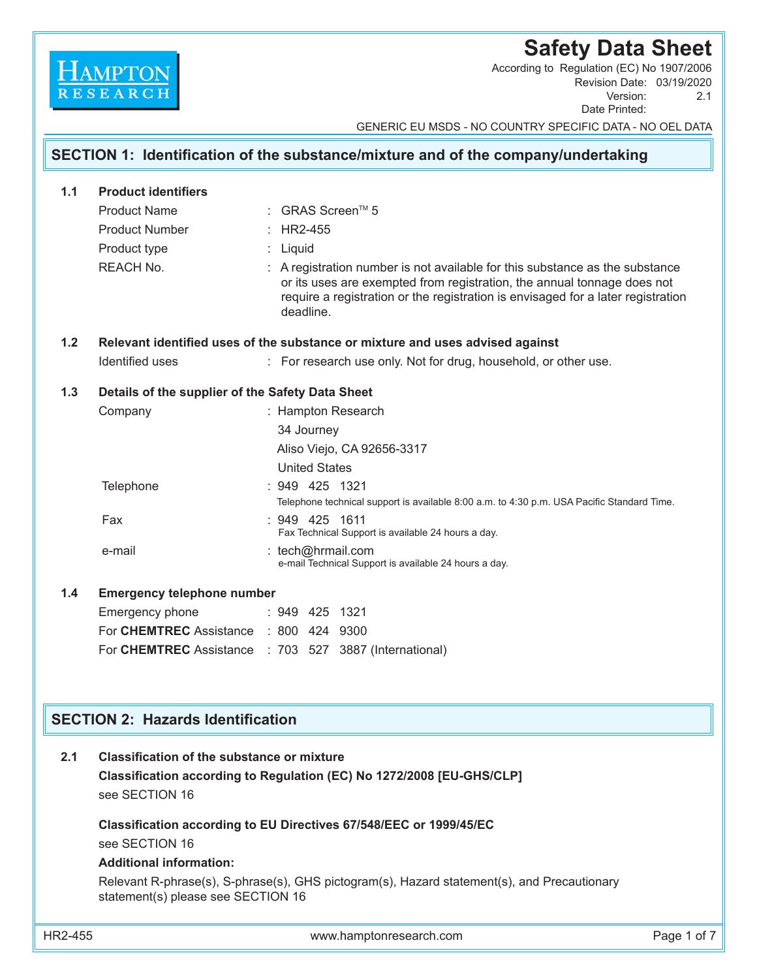# **Safety Data Sheet**

Revision Date: 03/19/2020 Version: 2.1 Date Printed: According to Regulation (EC) No 1907/2006

GENERIC EU MSDS - NO COUNTRY SPECIFIC DATA - NO OEL DATA

## **SECTION 1: Identification of the substance/mixture and of the company/undertaking 1.1 Product identifiers** Product Name : GRAS Screen™ 5 Product Number : HR2-455 Product type : Liquid REACH No. **Example 2 :** A registration number is not available for this substance as the substance or its uses are exempted from registration, the annual tonnage does not require a registration or the registration is envisaged for a later registration deadline.

## **1.2 Relevant identified uses of the substance or mixture and uses advised against**

Identified uses : For research use only. Not for drug, household, or other use.

Намрто

## **1.3 Details of the supplier of the Safety Data Sheet**

|     | Company                    | : Hampton Research                                                                                             |
|-----|----------------------------|----------------------------------------------------------------------------------------------------------------|
|     |                            | 34 Journey                                                                                                     |
|     |                            | Aliso Viejo, CA 92656-3317                                                                                     |
|     |                            | <b>United States</b>                                                                                           |
|     | Telephone                  | $: 949$ 425 1321<br>Telephone technical support is available 8.00 a.m. to 4.30 p.m. USA Pacific Standard Time. |
|     | Fax                        | $: 949$ 425 1611<br>Fax Technical Support is available 24 hours a day.                                         |
|     | e-mail                     | : tech@hrmail.com<br>e-mail Technical Support is available 24 hours a day.                                     |
| 1.4 | Emergency telephone number |                                                                                                                |

| Emergency phone                                        | $: 949$ 425 1321 |  |
|--------------------------------------------------------|------------------|--|
| For CHEMTREC Assistance : 800 424 9300                 |                  |  |
| For CHEMTREC Assistance : 703 527 3887 (International) |                  |  |
|                                                        |                  |  |

## **SECTION 2: Hazards Identification**

| 2.1<br>Classification of the substance or mixture |
|---------------------------------------------------|
|---------------------------------------------------|

 **Classification according to Regulation (EC) No 1272/2008 [EU-GHS/CLP]** see SECTION 16

## **Classification according to EU Directives 67/548/EEC or 1999/45/EC** see SECTION 16

## **Additional information:**

 Relevant R-phrase(s), S-phrase(s), GHS pictogram(s), Hazard statement(s), and Precautionary statement(s) please see SECTION 16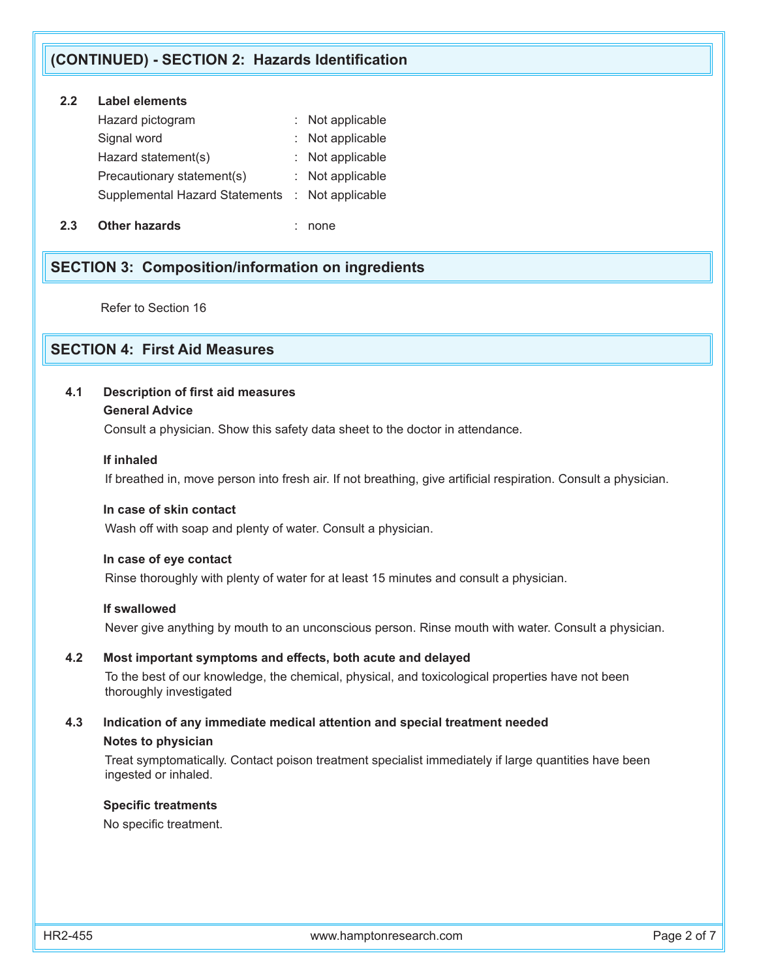## **(CONTINUED) - SECTION 2: Hazards Identification**

## **2.2 Label elements**

| Hazard pictogram                                | : Not applicable |
|-------------------------------------------------|------------------|
| Signal word                                     | : Not applicable |
| Hazard statement(s)                             | : Not applicable |
| Precautionary statement(s)                      | : Not applicable |
| Supplemental Hazard Statements : Not applicable |                  |
|                                                 |                  |

**2.3 Other hazards** : none

## **SECTION 3: Composition/information on ingredients**

Refer to Section 16

## **SECTION 4: First Aid Measures**

## **4.1 Description of first aid measures**

### **General Advice**

Consult a physician. Show this safety data sheet to the doctor in attendance.

### **If inhaled**

If breathed in, move person into fresh air. If not breathing, give artificial respiration. Consult a physician.

### **In case of skin contact**

Wash off with soap and plenty of water. Consult a physician.

#### **In case of eye contact**

Rinse thoroughly with plenty of water for at least 15 minutes and consult a physician.

### **If swallowed**

Never give anything by mouth to an unconscious person. Rinse mouth with water. Consult a physician.

## **4.2 Most important symptoms and effects, both acute and delayed**

To the best of our knowledge, the chemical, physical, and toxicological properties have not been thoroughly investigated

## **4.3 Indication of any immediate medical attention and special treatment needed Notes to physician**

 Treat symptomatically. Contact poison treatment specialist immediately if large quantities have been ingested or inhaled.

#### **Specific treatments**

No specific treatment.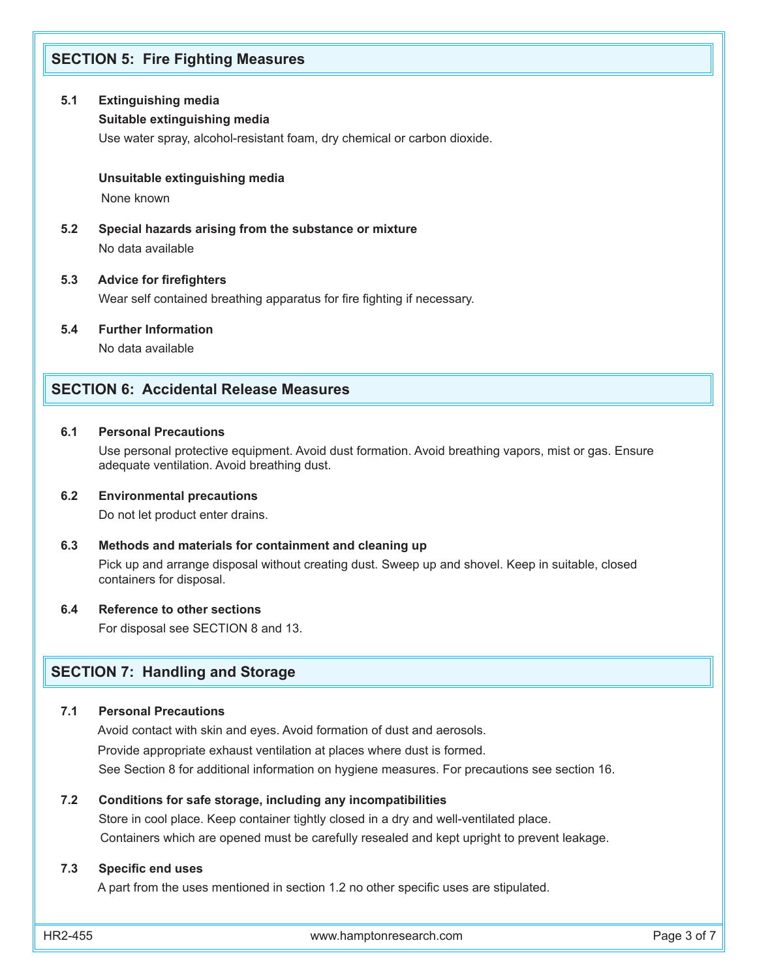## **SECTION 5: Fire Fighting Measures**

### **5.1 Extinguishing media**

### **Suitable extinguishing media**

Use water spray, alcohol-resistant foam, dry chemical or carbon dioxide.

#### **Unsuitable extinguishing media**

None known

**5.2 Special hazards arising from the substance or mixture** No data available

#### **5.3 Advice for firefighters**

Wear self contained breathing apparatus for fire fighting if necessary.

**5.4 Further Information**

No data available

## **SECTION 6: Accidental Release Measures**

### **6.1 Personal Precautions**

Use personal protective equipment. Avoid dust formation. Avoid breathing vapors, mist or gas. Ensure adequate ventilation. Avoid breathing dust.

#### **6.2 Environmental precautions**

Do not let product enter drains.

#### **6.3 Methods and materials for containment and cleaning up**

 Pick up and arrange disposal without creating dust. Sweep up and shovel. Keep in suitable, closed containers for disposal.

#### **6.4 Reference to other sections**

For disposal see SECTION 8 and 13.

## **SECTION 7: Handling and Storage**

#### **7.1 Personal Precautions**

 Avoid contact with skin and eyes. Avoid formation of dust and aerosols. Provide appropriate exhaust ventilation at places where dust is formed. See Section 8 for additional information on hygiene measures. For precautions see section 16.

#### **7.2 Conditions for safe storage, including any incompatibilities**

 Store in cool place. Keep container tightly closed in a dry and well-ventilated place. Containers which are opened must be carefully resealed and kept upright to prevent leakage.

#### **7.3 Specific end uses**

A part from the uses mentioned in section 1.2 no other specific uses are stipulated.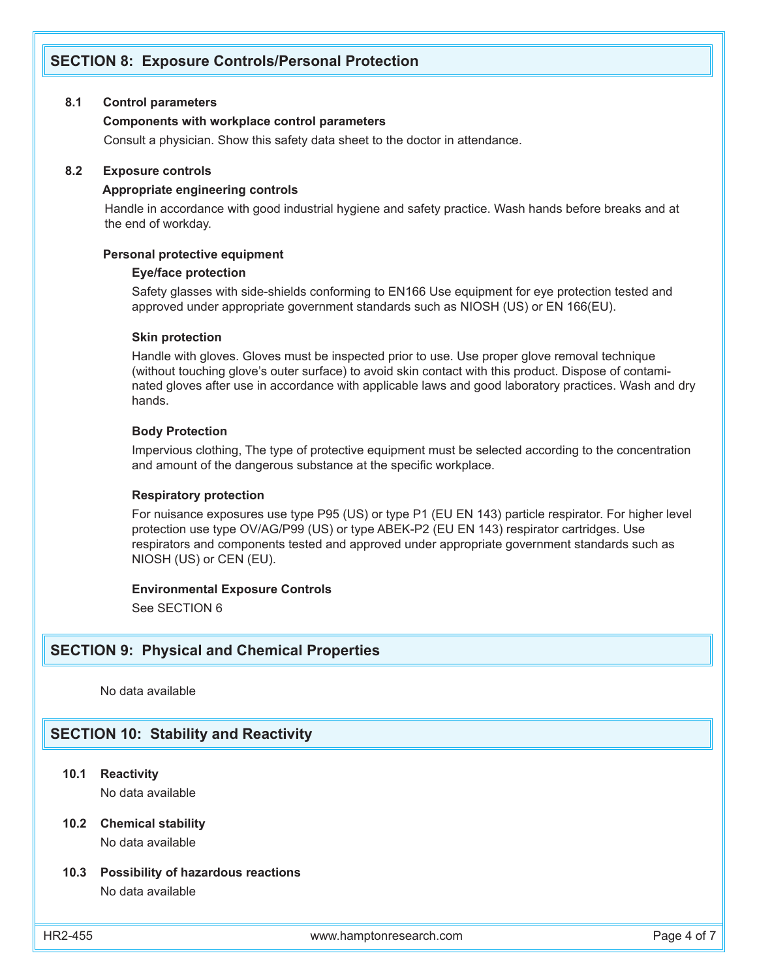## **SECTION 8: Exposure Controls/Personal Protection**

#### **8.1 Control parameters**

#### **Components with workplace control parameters**

Consult a physician. Show this safety data sheet to the doctor in attendance.

#### **8.2 Exposure controls**

#### **Appropriate engineering controls**

 Handle in accordance with good industrial hygiene and safety practice. Wash hands before breaks and at the end of workday.

#### **Personal protective equipment**

#### **Eye/face protection**

Safety glasses with side-shields conforming to EN166 Use equipment for eye protection tested and approved under appropriate government standards such as NIOSH (US) or EN 166(EU).

#### **Skin protection**

Handle with gloves. Gloves must be inspected prior to use. Use proper glove removal technique (without touching glove's outer surface) to avoid skin contact with this product. Dispose of contaminated gloves after use in accordance with applicable laws and good laboratory practices. Wash and dry hands.

## **Body Protection**

Impervious clothing, The type of protective equipment must be selected according to the concentration and amount of the dangerous substance at the specific workplace.

#### **Respiratory protection**

For nuisance exposures use type P95 (US) or type P1 (EU EN 143) particle respirator. For higher level protection use type OV/AG/P99 (US) or type ABEK-P2 (EU EN 143) respirator cartridges. Use respirators and components tested and approved under appropriate government standards such as NIOSH (US) or CEN (EU).

#### **Environmental Exposure Controls**

See SECTION 6

### **SECTION 9: Physical and Chemical Properties**

No data available

## **SECTION 10: Stability and Reactivity**

**10.1 Reactivity**

No data available

### **10.2 Chemical stability** No data available

### **10.3 Possibility of hazardous reactions** No data available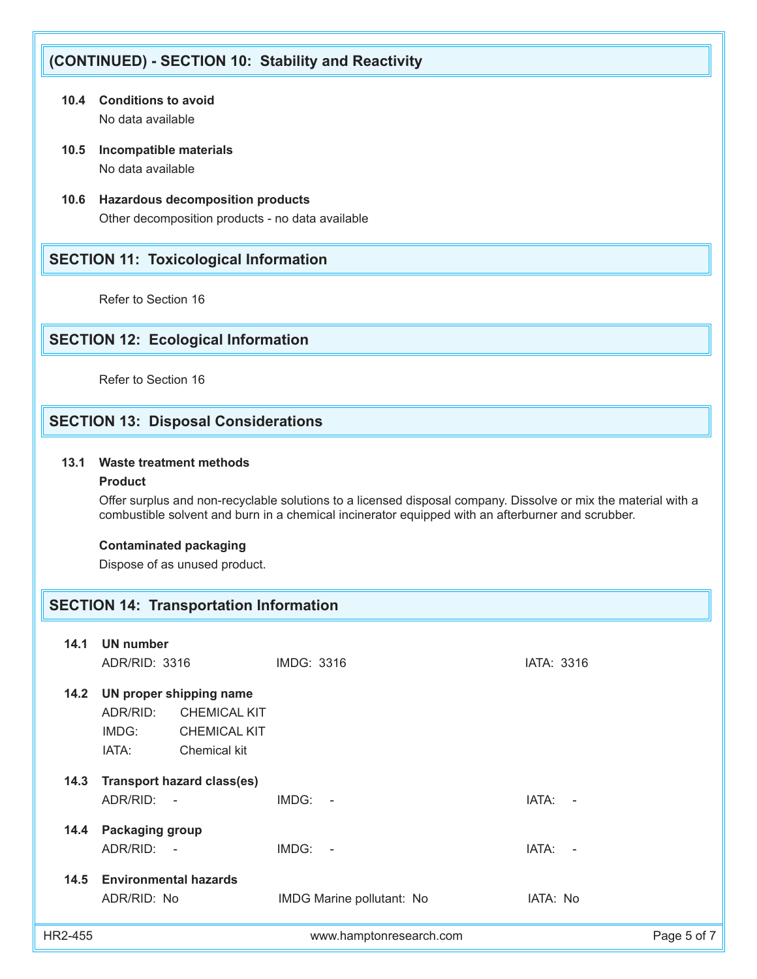## **(CONTINUED) - SECTION 10: Stability and Reactivity**

- **10.4 Conditions to avoid** No data available
- **10.5 Incompatible materials** No data available
- **10.6 Hazardous decomposition products** Other decomposition products - no data available

## **SECTION 11: Toxicological Information**

Refer to Section 16

## **SECTION 12: Ecological Information**

Refer to Section 16

## **SECTION 13: Disposal Considerations**

## **13.1 Waste treatment methods**

## **Product**

 Offer surplus and non-recyclable solutions to a licensed disposal company. Dissolve or mix the material with a combustible solvent and burn in a chemical incinerator equipped with an afterburner and scrubber.

## **Contaminated packaging**

Dispose of as unused product.

## **SECTION 14: Transportation Information**

| 14.1    | UN number<br>ADR/RID: 3316                                                                                          | IMDG: 3316                | IATA: 3316  |
|---------|---------------------------------------------------------------------------------------------------------------------|---------------------------|-------------|
| 14.2    | UN proper shipping name<br>ADR/RID:<br><b>CHEMICAL KIT</b><br>IMDG:<br><b>CHEMICAL KIT</b><br>IATA:<br>Chemical kit |                           |             |
| 14.3    | <b>Transport hazard class(es)</b><br>ADR/RID: -                                                                     | $IMDG: -$                 | IATA: -     |
| 14.4    | Packaging group<br>ADR/RID: -                                                                                       | $IMDG: -$                 | IATA: -     |
| 14.5    | <b>Environmental hazards</b><br>ADR/RID: No                                                                         | IMDG Marine pollutant: No | IATA: No    |
| HR2-455 |                                                                                                                     | www.hamptonresearch.com   | Page 5 of 7 |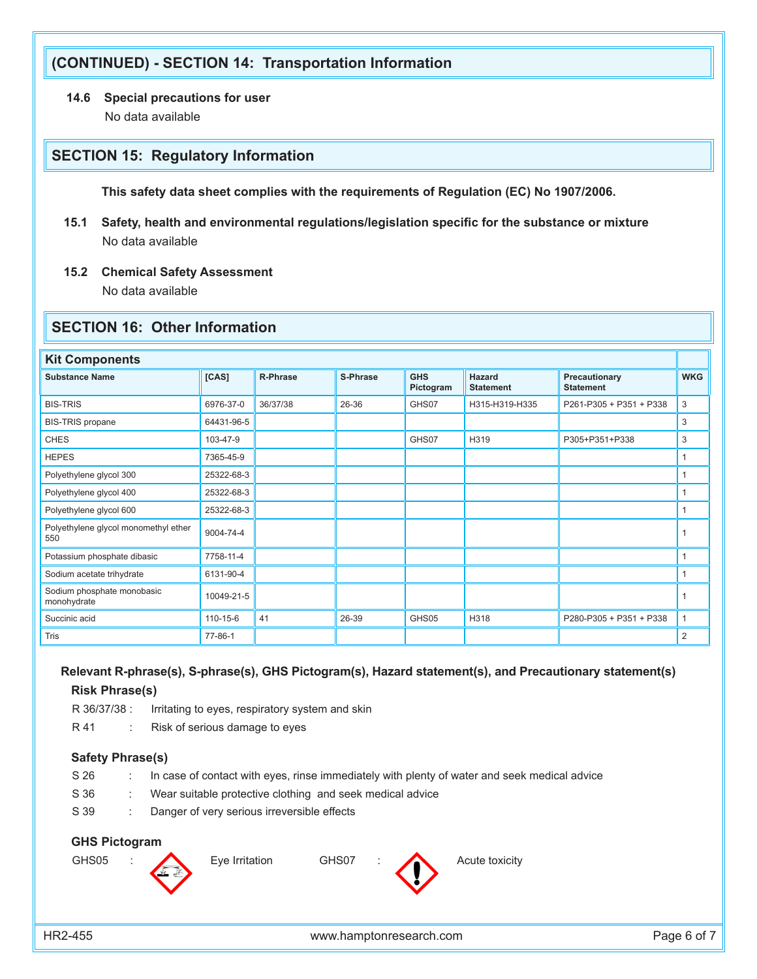## **(CONTINUED) - SECTION 14: Transportation Information**

**14.6 Special precautions for user**

No data available

## **SECTION 15: Regulatory Information**

 **This safety data sheet complies with the requirements of Regulation (EC) No 1907/2006.**

- **15.1 Safety, health and environmental regulations/legislation specific for the substance or mixture** No data available
- **15.2 Chemical Safety Assessment**

No data available

## **SECTION 16: Other Information**

| <b>Kit Components</b>                       |            |                 |          |                         |                                   |                                   |              |
|---------------------------------------------|------------|-----------------|----------|-------------------------|-----------------------------------|-----------------------------------|--------------|
| <b>Substance Name</b>                       | [CAS]      | <b>R-Phrase</b> | S-Phrase | <b>GHS</b><br>Pictogram | <b>Hazard</b><br><b>Statement</b> | Precautionary<br><b>Statement</b> | <b>WKG</b>   |
| <b>BIS-TRIS</b>                             | 6976-37-0  | 36/37/38        | 26-36    | GHS07                   | H315-H319-H335                    | P261-P305 + P351 + P338           | 3            |
| <b>BIS-TRIS</b> propane                     | 64431-96-5 |                 |          |                         |                                   |                                   | 3            |
| <b>CHES</b>                                 | 103-47-9   |                 |          | GHS07                   | H319                              | P305+P351+P338                    | 3            |
| <b>HEPES</b>                                | 7365-45-9  |                 |          |                         |                                   |                                   | $\mathbf{1}$ |
| Polyethylene glycol 300                     | 25322-68-3 |                 |          |                         |                                   |                                   | 1            |
| Polyethylene glycol 400                     | 25322-68-3 |                 |          |                         |                                   |                                   | $\mathbf{1}$ |
| Polyethylene glycol 600                     | 25322-68-3 |                 |          |                         |                                   |                                   | 1            |
| Polyethylene glycol monomethyl ether<br>550 | 9004-74-4  |                 |          |                         |                                   |                                   | $\mathbf 1$  |
| Potassium phosphate dibasic                 | 7758-11-4  |                 |          |                         |                                   |                                   | $\mathbf{1}$ |
| Sodium acetate trihydrate                   | 6131-90-4  |                 |          |                         |                                   |                                   | 1            |
| Sodium phosphate monobasic<br>monohydrate   | 10049-21-5 |                 |          |                         |                                   |                                   | 1            |
| Succinic acid                               | 110-15-6   | 41              | 26-39    | GHS05                   | H318                              | P280-P305 + P351 + P338           | $\mathbf{1}$ |
| Tris                                        | 77-86-1    |                 |          |                         |                                   |                                   | 2            |

## **Relevant R-phrase(s), S-phrase(s), GHS Pictogram(s), Hazard statement(s), and Precautionary statement(s) Risk Phrase(s)**

R 36/37/38 : Irritating to eyes, respiratory system and skin

R 41 : Risk of serious damage to eyes

### **Safety Phrase(s)**

- S 26 : In case of contact with eyes, rinse immediately with plenty of water and seek medical advice
- S 36 : Wear suitable protective clothing and seek medical advice
- S 39 : Danger of very serious irreversible effects

## **GHS Pictogram**